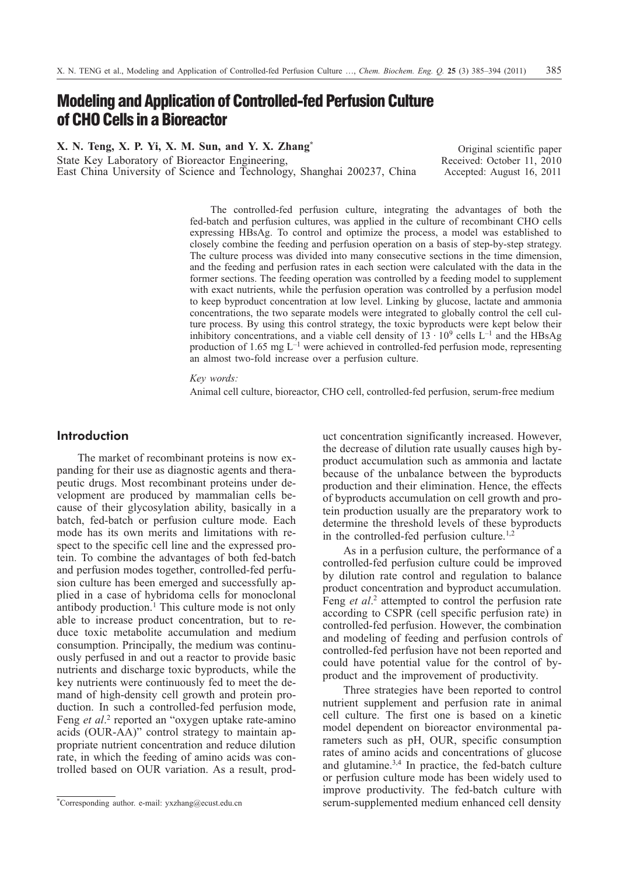# **Modeling and Application of Controlled-fed Perfusion Culture of CHO Cells in a Bioreactor**

**X. N. Teng, X. P. Yi, X. M. Sun, and Y. X. Zhang\***

State Key Laboratory of Bioreactor Engineering, East China University of Science and Technology, Shanghai 200237, China

Original scientific paper Received: October 11, 2010 Accepted: August 16, 2011

The controlled-fed perfusion culture, integrating the advantages of both the fed-batch and perfusion cultures, was applied in the culture of recombinant CHO cells expressing HBsAg. To control and optimize the process, a model was established to closely combine the feeding and perfusion operation on a basis of step-by-step strategy. The culture process was divided into many consecutive sections in the time dimension, and the feeding and perfusion rates in each section were calculated with the data in the former sections. The feeding operation was controlled by a feeding model to supplement with exact nutrients, while the perfusion operation was controlled by a perfusion model to keep byproduct concentration at low level. Linking by glucose, lactate and ammonia concentrations, the two separate models were integrated to globally control the cell culture process. By using this control strategy, the toxic byproducts were kept below their inhibitory concentrations, and a viable cell density of  $13 \cdot 10^9$  cells L<sup>-1</sup> and the HBsAg production of 1.65 mg L–1 were achieved in controlled-fed perfusion mode, representing an almost two-fold increase over a perfusion culture.

*Key words:*

Animal cell culture, bioreactor, CHO cell, controlled-fed perfusion, serum-free medium

## **Introduction**

The market of recombinant proteins is now expanding for their use as diagnostic agents and therapeutic drugs. Most recombinant proteins under development are produced by mammalian cells because of their glycosylation ability, basically in a batch, fed-batch or perfusion culture mode. Each mode has its own merits and limitations with respect to the specific cell line and the expressed protein. To combine the advantages of both fed-batch and perfusion modes together, controlled-fed perfusion culture has been emerged and successfully applied in a case of hybridoma cells for monoclonal antibody production.<sup>1</sup> This culture mode is not only able to increase product concentration, but to reduce toxic metabolite accumulation and medium consumption. Principally, the medium was continuously perfused in and out a reactor to provide basic nutrients and discharge toxic byproducts, while the key nutrients were continuously fed to meet the demand of high-density cell growth and protein production. In such a controlled-fed perfusion mode, Feng *et al*. <sup>2</sup> reported an "oxygen uptake rate-amino acids (OUR-AA)" control strategy to maintain appropriate nutrient concentration and reduce dilution rate, in which the feeding of amino acids was controlled based on OUR variation. As a result, product concentration significantly increased. However, the decrease of dilution rate usually causes high byproduct accumulation such as ammonia and lactate because of the unbalance between the byproducts production and their elimination. Hence, the effects of byproducts accumulation on cell growth and protein production usually are the preparatory work to determine the threshold levels of these byproducts in the controlled-fed perfusion culture.<sup>1,2</sup>

As in a perfusion culture, the performance of a controlled-fed perfusion culture could be improved by dilution rate control and regulation to balance product concentration and byproduct accumulation. Feng *et al*. <sup>2</sup> attempted to control the perfusion rate according to CSPR (cell specific perfusion rate) in controlled-fed perfusion. However, the combination and modeling of feeding and perfusion controls of controlled-fed perfusion have not been reported and could have potential value for the control of byproduct and the improvement of productivity.

Three strategies have been reported to control nutrient supplement and perfusion rate in animal cell culture. The first one is based on a kinetic model dependent on bioreactor environmental parameters such as pH, OUR, specific consumption rates of amino acids and concentrations of glucose and glutamine.3,4 In practice, the fed-batch culture or perfusion culture mode has been widely used to improve productivity. The fed-batch culture with serum-supplemented medium enhanced cell density

<sup>\*</sup>Corresponding author. e-mail: yxzhang@ecust.edu.cn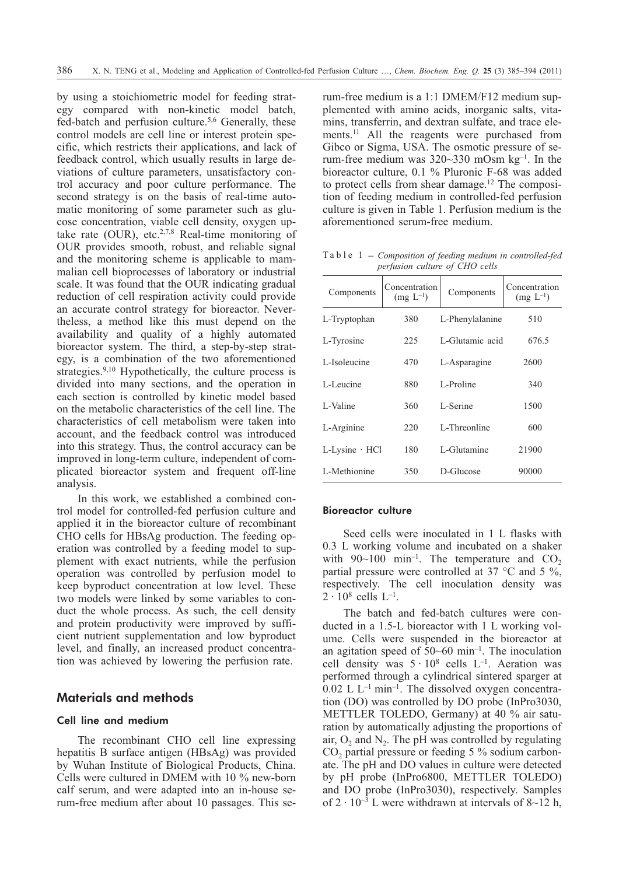by using a stoichiometric model for feeding strategy compared with non-kinetic model batch, fed-batch and perfusion culture.5,6 Generally, these control models are cell line or interest protein specific, which restricts their applications, and lack of feedback control, which usually results in large deviations of culture parameters, unsatisfactory control accuracy and poor culture performance. The second strategy is on the basis of real-time automatic monitoring of some parameter such as glucose concentration, viable cell density, oxygen uptake rate (OUR), etc.<sup>2,7,8</sup> Real-time monitoring of OUR provides smooth, robust, and reliable signal and the monitoring scheme is applicable to mammalian cell bioprocesses of laboratory or industrial scale. It was found that the OUR indicating gradual reduction of cell respiration activity could provide an accurate control strategy for bioreactor. Nevertheless, a method like this must depend on the availability and quality of a highly automated bioreactor system. The third, a step-by-step strategy, is a combination of the two aforementioned strategies.<sup>9,10</sup> Hypothetically, the culture process is divided into many sections, and the operation in each section is controlled by kinetic model based on the metabolic characteristics of the cell line. The characteristics of cell metabolism were taken into account, and the feedback control was introduced into this strategy. Thus, the control accuracy can be improved in long-term culture, independent of complicated bioreactor system and frequent off-line analysis.

In this work, we established a combined control model for controlled-fed perfusion culture and applied it in the bioreactor culture of recombinant CHO cells for HBsAg production. The feeding operation was controlled by a feeding model to supplement with exact nutrients, while the perfusion operation was controlled by perfusion model to keep byproduct concentration at low level. These two models were linked by some variables to conduct the whole process. As such, the cell density and protein productivity were improved by sufficient nutrient supplementation and low byproduct level, and finally, an increased product concentration was achieved by lowering the perfusion rate.

## **Materials and methods**

## Cell line and medium

The recombinant CHO cell line expressing hepatitis B surface antigen (HBsAg) was provided by Wuhan Institute of Biological Products, China. Cells were cultured in DMEM with 10 % new-born calf serum, and were adapted into an in-house serum-free medium after about 10 passages. This serum-free medium is a 1:1 DMEM/F12 medium supplemented with amino acids, inorganic salts, vitamins, transferrin, and dextran sulfate, and trace elements.11 All the reagents were purchased from Gibco or Sigma, USA. The osmotic pressure of serum-free medium was 320~330 mOsm kg–1. In the bioreactor culture, 0.1 % Pluronic F-68 was added to protect cells from shear damage.<sup>12</sup> The composition of feeding medium in controlled-fed perfusion culture is given in Table 1. Perfusion medium is the aforementioned serum-free medium.

Table 1 – *Composition of feeding medium in controlled-fed perfusion culture of CHO cells*

| Components              | Concentration<br>$(mg L^{-1})$ | Components      | Concentration<br>$(mg L^{-1})$ |  |
|-------------------------|--------------------------------|-----------------|--------------------------------|--|
| L-Tryptophan            | 380                            | L-Phenylalanine | 510                            |  |
| L-Tyrosine              | 225                            | L-Glutamic acid | 676.5                          |  |
| L-Isoleucine            | 470                            | L-Asparagine    | 2600                           |  |
| L-Leucine               | 880                            | L-Proline       | 340                            |  |
| L-Valine                | 360                            | L-Serine        | 1500                           |  |
| L-Arginine              | 220                            | L-Threonline    | 600                            |  |
| $L$ -Lysine $\cdot$ HCl | 180                            | L-Glutamine     | 21900                          |  |
| L-Methionine            | 350                            | D-Glucose       | 90000                          |  |

#### Bioreactor culture

Seed cells were inoculated in 1 L flasks with 0.3 L working volume and incubated on a shaker with  $90~100$  min<sup>-1</sup>. The temperature and  $CO<sub>2</sub>$ partial pressure were controlled at 37  $\degree$ C and 5  $\%$ , respectively. The cell inoculation density was  $2 \cdot 10^8$  cells  $L^{-1}$ .

The batch and fed-batch cultures were conducted in a 1.5-L bioreactor with 1 L working volume. Cells were suspended in the bioreactor at an agitation speed of  $50~60$  min<sup>-1</sup>. The inoculation cell density was  $5 \cdot 10^8$  cells  $L^{-1}$ . Aeration was performed through a cylindrical sintered sparger at  $0.02$  L L<sup>-1</sup> min<sup>-1</sup>. The dissolved oxygen concentration (DO) was controlled by DO probe (InPro3030, METTLER TOLEDO, Germany) at 40 % air saturation by automatically adjusting the proportions of air,  $O_2$  and  $N_2$ . The pH was controlled by regulating  $CO<sub>2</sub>$  partial pressure or feeding 5 % sodium carbonate. The pH and DO values in culture were detected by pH probe (InPro6800, METTLER TOLEDO) and DO probe (InPro3030), respectively. Samples of  $2 \cdot 10^{-3}$  L were withdrawn at intervals of 8~12 h,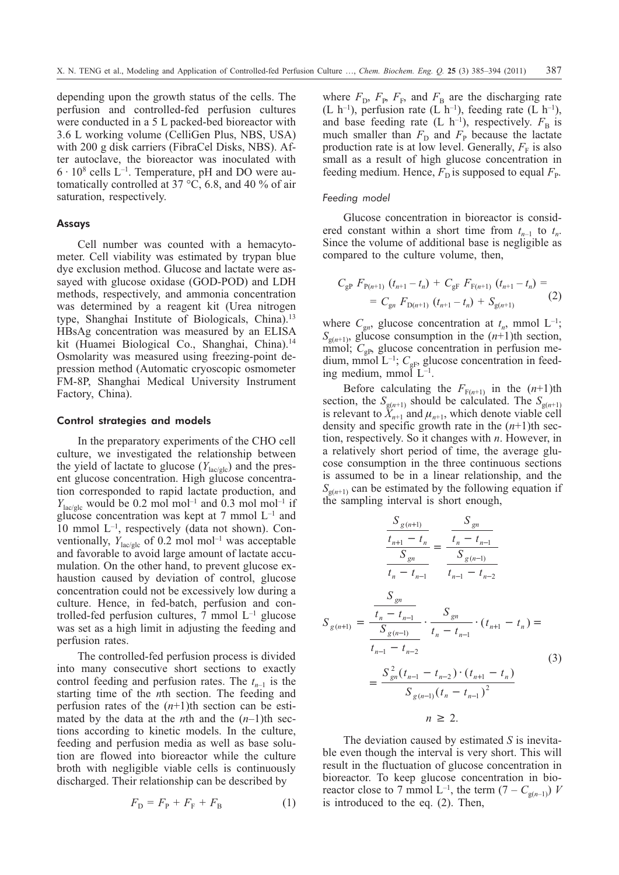depending upon the growth status of the cells. The perfusion and controlled-fed perfusion cultures were conducted in a 5 L packed-bed bioreactor with 3.6 L working volume (CelliGen Plus, NBS, USA) with 200 g disk carriers (FibraCel Disks, NBS). After autoclave, the bioreactor was inoculated with  $6 \cdot 10^8$  cells L<sup>-1</sup>. Temperature, pH and DO were automatically controlled at 37  $\degree$ C, 6.8, and 40 % of air saturation, respectively.

## Assays

Cell number was counted with a hemacytometer. Cell viability was estimated by trypan blue dye exclusion method. Glucose and lactate were assayed with glucose oxidase (GOD-POD) and LDH methods, respectively, and ammonia concentration was determined by a reagent kit (Urea nitrogen type, Shanghai Institute of Biologicals, China).<sup>13</sup> HBsAg concentration was measured by an ELISA kit (Huamei Biological Co., Shanghai, China).<sup>14</sup> Osmolarity was measured using freezing-point depression method (Automatic cryoscopic osmometer FM-8P, Shanghai Medical University Instrument Factory, China).

#### Control strategies and models

In the preparatory experiments of the CHO cell culture, we investigated the relationship between the yield of lactate to glucose  $(Y_{\text{lac/gle}})$  and the present glucose concentration. High glucose concentration corresponded to rapid lactate production, and  $Y_{\text{lac}/\text{glc}}$  would be 0.2 mol mol<sup>-1</sup> and 0.3 mol mol<sup>-1</sup> if glucose concentration was kept at 7 mmol  $L^{-1}$  and 10 mmol L–1, respectively (data not shown). Conventionally,  $Y_{\text{lac}/\text{glc}}$  of 0.2 mol mol<sup>-1</sup> was acceptable and favorable to avoid large amount of lactate accumulation. On the other hand, to prevent glucose exhaustion caused by deviation of control, glucose concentration could not be excessively low during a culture. Hence, in fed-batch, perfusion and controlled-fed perfusion cultures,  $7 \text{ mmol } L^{-1}$  glucose was set as a high limit in adjusting the feeding and perfusion rates.

The controlled-fed perfusion process is divided into many consecutive short sections to exactly control feeding and perfusion rates. The  $t_{n-1}$  is the starting time of the *n*th section. The feeding and perfusion rates of the  $(n+1)$ th section can be estimated by the data at the *n*th and the  $(n-1)$ <sup>th</sup> sections according to kinetic models. In the culture, feeding and perfusion media as well as base solution are flowed into bioreactor while the culture broth with negligible viable cells is continuously discharged. Their relationship can be described by

$$
F_{\rm D} = F_{\rm P} + F_{\rm F} + F_{\rm B} \tag{1}
$$

where  $F_{\text{D}}$ ,  $F_{\text{P}}$ ,  $F_{\text{F}}$ , and  $F_{\text{B}}$  are the discharging rate (L h<sup>-1</sup>), perfusion rate (L h<sup>-1</sup>), feeding rate (L h<sup>-1</sup>), and base feeding rate (L  $h^{-1}$ ), respectively.  $F_B$  is much smaller than  $F<sub>D</sub>$  and  $F<sub>P</sub>$  because the lactate production rate is at low level. Generally,  $F<sub>F</sub>$  is also small as a result of high glucose concentration in feeding medium. Hence,  $F<sub>D</sub>$  is supposed to equal  $F<sub>p</sub>$ .

#### *Feeding model*

Glucose concentration in bioreactor is considered constant within a short time from  $t_{n-1}$  to  $t_n$ . Since the volume of additional base is negligible as compared to the culture volume, then,

$$
C_{\rm gP} F_{\rm P(n+1)} (t_{n+1} - t_n) + C_{\rm gF} F_{\rm F(n+1)} (t_{n+1} - t_n) =
$$
  
=  $C_{\rm gn} F_{\rm D(n+1)} (t_{n+1} - t_n) + S_{\rm g(n+1)}$  (2)

where  $C_{gn}$ , glucose concentration at  $t_n$ , mmol  $L^{-1}$ ;  $S_{g(n+1)}$ , glucose consumption in the  $(n+1)$ th section, mmol;  $C_{\varrho P}$ , glucose concentration in perfusion medium, mmol  $L^{-1}$ ;  $C_{\text{gF}}$ , glucose concentration in feeding medium, mmol  $L^{-1}$ .

Before calculating the  $F_{F(n+1)}$  in the  $(n+1)$ th section, the  $S_{g(n+1)}$  should be calculated. The  $S_{g(n+1)}$ is relevant to  $\ddot{X}_{n+1}$  and  $\mu_{n+1}$ , which denote viable cell density and specific growth rate in the  $(n+1)$ <sup>th</sup> section, respectively. So it changes with *n*. However, in a relatively short period of time, the average glucose consumption in the three continuous sections is assumed to be in a linear relationship, and the  $S_{g(n+1)}$  can be estimated by the following equation if the sampling interval is short enough,

$$
\frac{S_{g(n+1)}}{\frac{t_{n+1} - t_n}{S_{gn}}} = \frac{S_{gn}}{\frac{t_n - t_{n-1}}{t_n - t_{n-2}}}
$$
\n
$$
S_{g(n+1)} = \frac{\frac{S_{gn}}{t_n - t_{n-1}}}{\frac{t_n - t_{n-1}}{t_n - t_{n-2}}} \cdot \frac{S_{gn}}{t_n - t_{n-1}} \cdot (t_{n+1} - t_n) = \frac{S_{gn}}{t_{n-1} - t_{n-2}} \cdot \frac{t_{n-1} - t_{n-1}}{(t_{n+1} - t_n)} = \frac{S_{gn}^2(t_{n-1} - t_{n-2}) \cdot (t_{n+1} - t_n)}{S_{g(n-1)}(t_n - t_{n-1})^2}
$$
\n
$$
n \ge 2.
$$
\n(3)

The deviation caused by estimated *S* is inevitable even though the interval is very short. This will result in the fluctuation of glucose concentration in bioreactor. To keep glucose concentration in bioreactor close to 7 mmol  $L^{-1}$ , the term  $(7 - C_{g(n-1)})$  *V* is introduced to the eq. (2). Then,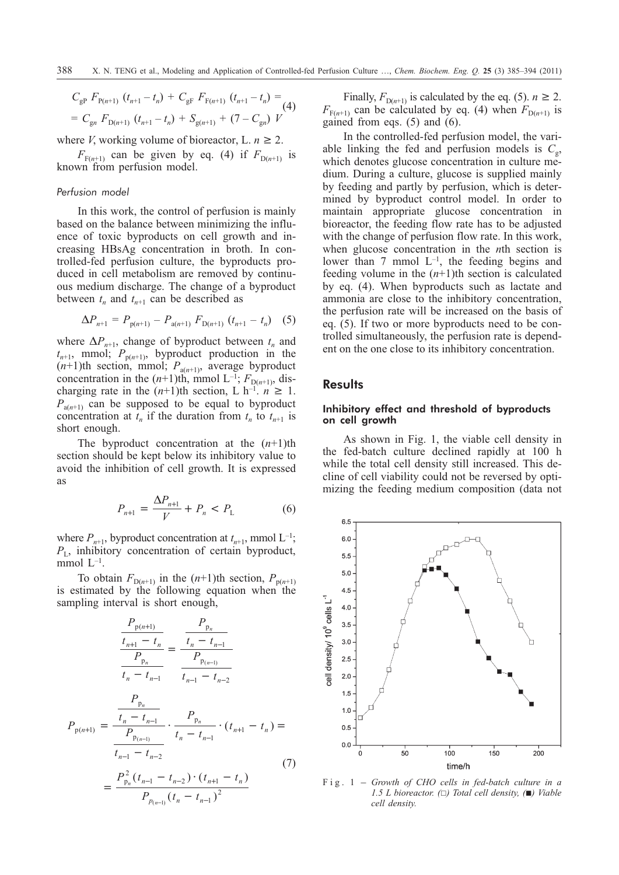$$
C_{\rm gP} F_{\rm P(n+1)} (t_{n+1} - t_n) + C_{\rm gF} F_{\rm F(n+1)} (t_{n+1} - t_n) =
$$
  
=  $C_{\rm g} F_{\rm D(n+1)} (t_{n+1} - t_n) + S_{\rm g(n+1)} + (7 - C_{\rm g n}) V$  (4)

where *V*, working volume of bioreactor, L.  $n \geq 2$ .

 $F_{F(n+1)}$  can be given by eq. (4) if  $F_{D(n+1)}$  is known from perfusion model.

#### *Perfusion model*

In this work, the control of perfusion is mainly based on the balance between minimizing the influence of toxic byproducts on cell growth and increasing HBsAg concentration in broth. In controlled-fed perfusion culture, the byproducts produced in cell metabolism are removed by continuous medium discharge. The change of a byproduct between  $t_n$  and  $t_{n+1}$  can be described as

$$
\Delta P_{n+1} = P_{p(n+1)} - P_{a(n+1)} F_{D(n+1)} (t_{n+1} - t_n) \quad (5)
$$

where  $\Delta P_{n+1}$ , change of byproduct between  $t_n$  and  $t_{n+1}$ , mmol;  $P_{p(n+1)}$ , byproduct production in the  $(n+1)$ th section, mmol;  $P_{a(n+1)}$ , average byproduct concentration in the  $(n+1)$ th, mmol L<sup>-1</sup>;  $F_{D(n+1)}$ , discharging rate in the  $(n+1)$ th section, L h<sup>-1</sup>.  $n \ge 1$ .  $P_{a(n+1)}$  can be supposed to be equal to byproduct concentration at  $t_n$  if the duration from  $t_n$  to  $t_{n+1}$  is short enough.

The byproduct concentration at the  $(n+1)$ <sup>th</sup> section should be kept below its inhibitory value to avoid the inhibition of cell growth. It is expressed as

$$
P_{n+1} = \frac{\Delta P_{n+1}}{V} + P_n < P_L \tag{6}
$$

where  $P_{n+1}$ , byproduct concentration at  $t_{n+1}$ , mmol  $L^{-1}$ ;  $P_{L}$ , inhibitory concentration of certain byproduct, mmol  $L^{-1}$ .

To obtain  $F_{D(n+1)}$  in the  $(n+1)$ th section,  $P_{p(n+1)}$ is estimated by the following equation when the sampling interval is short enough,

$$
\frac{P_{p(n+1)}}{t_{n+1} - t_n} = \frac{\frac{P_{p_n}}{t_n - t_{n-1}}}{P_{p_n}} = \frac{\frac{P_{p_n}}{t_n - t_{n-1}}}{t_{n-1} - t_{n-2}}
$$
\n
$$
P_{p(n+1)} = \frac{\frac{P_{p_n}}{t_n - t_{n-1}}}{\frac{P_{p_n}}{t_n - t_{n-1}}} \cdot \frac{P_{p_n}}{t_n - t_{n-1}} \cdot (t_{n+1} - t_n) = \frac{\frac{P_{p_n}}{t_{n-1} - t_{n-2}}}{t_n - t_{n-2}} \tag{7}
$$

$$
=\frac{P_{p_n}^2(t_{n-1}-t_{n-2})\cdot(t_{n+1}-t_n)}{P_{p_{(n-1)}}(t_n-t_{n-1})^2}
$$

Finally,  $F_{D(n+1)}$  is calculated by the eq. (5).  $n \ge 2$ .  $F_{F(n+1)}$  can be calculated by eq. (4) when  $F_{D(n+1)}$  is gained from eqs. (5) and (6).

In the controlled-fed perfusion model, the variable linking the fed and perfusion models is  $C_{\varphi}$ , which denotes glucose concentration in culture medium. During a culture, glucose is supplied mainly by feeding and partly by perfusion, which is determined by byproduct control model. In order to maintain appropriate glucose concentration in bioreactor, the feeding flow rate has to be adjusted with the change of perfusion flow rate. In this work, when glucose concentration in the *n*th section is lower than 7 mmol  $L^{-1}$ , the feeding begins and feeding volume in the  $(n+1)$ th section is calculated by eq. (4). When byproducts such as lactate and ammonia are close to the inhibitory concentration, the perfusion rate will be increased on the basis of eq. (5). If two or more byproducts need to be controlled simultaneously, the perfusion rate is dependent on the one close to its inhibitory concentration.

## **Results**

## Inhibitory effect and threshold of byproducts on cell growth

As shown in Fig. 1, the viable cell density in the fed-batch culture declined rapidly at 100 h while the total cell density still increased. This decline of cell viability could not be reversed by optimizing the feeding medium composition (data not



*1.5 L bioreactor.*  $(\Box)$  *Total cell density,*  $(\Box)$  *Viable cell density.*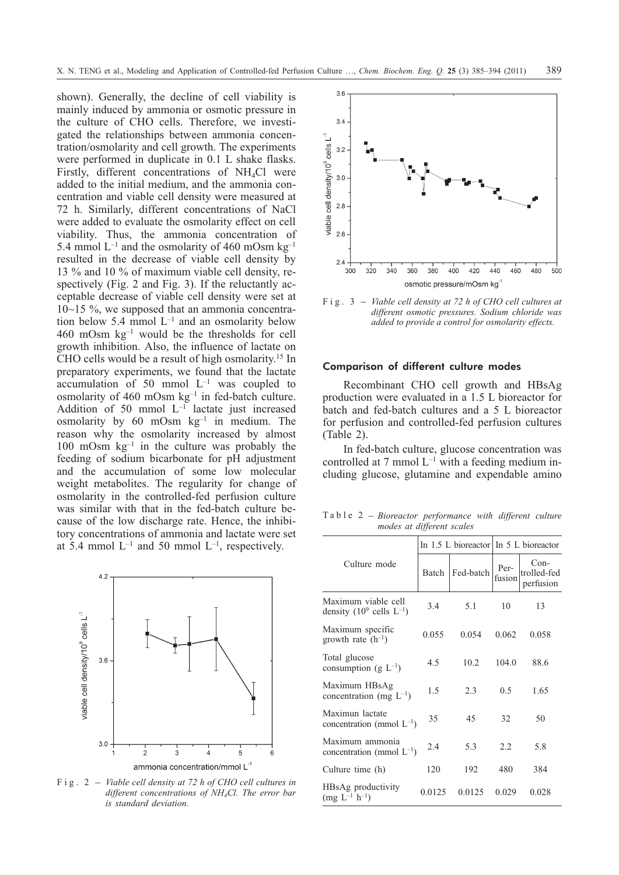shown). Generally, the decline of cell viability is mainly induced by ammonia or osmotic pressure in the culture of CHO cells. Therefore, we investigated the relationships between ammonia concentration/osmolarity and cell growth. The experiments were performed in duplicate in 0.1 L shake flasks. Firstly, different concentrations of  $NH<sub>4</sub>Cl$  were added to the initial medium, and the ammonia concentration and viable cell density were measured at 72 h. Similarly, different concentrations of NaCl were added to evaluate the osmolarity effect on cell viability. Thus, the ammonia concentration of 5.4 mmol  $L^{-1}$  and the osmolarity of 460 mOsm  $kg^{-1}$ resulted in the decrease of viable cell density by 13 % and 10 % of maximum viable cell density, respectively (Fig. 2 and Fig. 3). If the reluctantly acceptable decrease of viable cell density were set at 10~15 %, we supposed that an ammonia concentration below 5.4 mmol  $L^{-1}$  and an osmolarity below 460 mOsm kg–1 would be the thresholds for cell growth inhibition. Also, the influence of lactate on CHO cells would be a result of high osmolarity.15 In preparatory experiments, we found that the lactate  $\arctan$  accumulation of 50 mmol  $L^{-1}$  was coupled to osmolarity of 460 mOsm  $kg^{-1}$  in fed-batch culture. Addition of 50 mmol  $L^{-1}$  lactate just increased osmolarity by  $60$  mOsm  $kg^{-1}$  in medium. The reason why the osmolarity increased by almost 100 mOsm  $kg^{-1}$  in the culture was probably the feeding of sodium bicarbonate for pH adjustment and the accumulation of some low molecular weight metabolites. The regularity for change of osmolarity in the controlled-fed perfusion culture was similar with that in the fed-batch culture because of the low discharge rate. Hence, the inhibitory concentrations of ammonia and lactate were set at 5.4 mmol  $L^{-1}$  and 50 mmol  $L^{-1}$ , respectively.



*different concentrations of NH4Cl. The error bar is standard deviation.*



*different osmotic pressures. Sodium chloride was added to provide a control for osmolarity effects.*

#### Comparison of different culture modes

Recombinant CHO cell growth and HBsAg production were evaluated in a 1.5 L bioreactor for batch and fed-batch cultures and a 5 L bioreactor for perfusion and controlled-fed perfusion cultures (Table 2).

In fed-batch culture, glucose concentration was controlled at 7 mmol  $L^{-1}$  with a feeding medium including glucose, glutamine and expendable amino

Table 2 – *Bioreactor performance with different culture modes at different scales*

|                                                               |        |           | In 1.5 L bioreactor In $5$ L bioreactor |                                  |  |
|---------------------------------------------------------------|--------|-----------|-----------------------------------------|----------------------------------|--|
| Culture mode                                                  | Batch  | Fed-batch | Per-<br>fusion                          | Con-<br>trolled-fed<br>perfusion |  |
| Maximum viable cell<br>density $(10^9 \text{ cells } L^{-1})$ | 3.4    | 5.1       | 10                                      | 13                               |  |
| Maximum specific<br>growth rate $(h^{-1})$                    | 0.055  | 0.054     | 0.062                                   | 0.058                            |  |
| Total glucose<br>consumption (g $L^{-1}$ )                    | 4.5    | 10.2      | 104.0                                   | 88.6                             |  |
| Maximum HBsAg<br>concentration (mg $L^{-1}$ )                 | 1.5    | 2.3       | 0.5                                     | 1.65                             |  |
| Maximun lactate<br>concentration (mmol $L^{-1}$ )             | 35     | 45        | 32                                      | 50                               |  |
| Maximum ammonia<br>concentration (mmol $L^{-1}$ )             | 2.4    | 5.3       | 2.2.                                    | 5.8                              |  |
| Culture time (h)                                              | 120    | 192       | 480                                     | 384                              |  |
| HBsAg productivity<br>$(mg L^{-1} h^{-1})$                    | 0.0125 | 0.0125    | 0.029                                   | 0.028                            |  |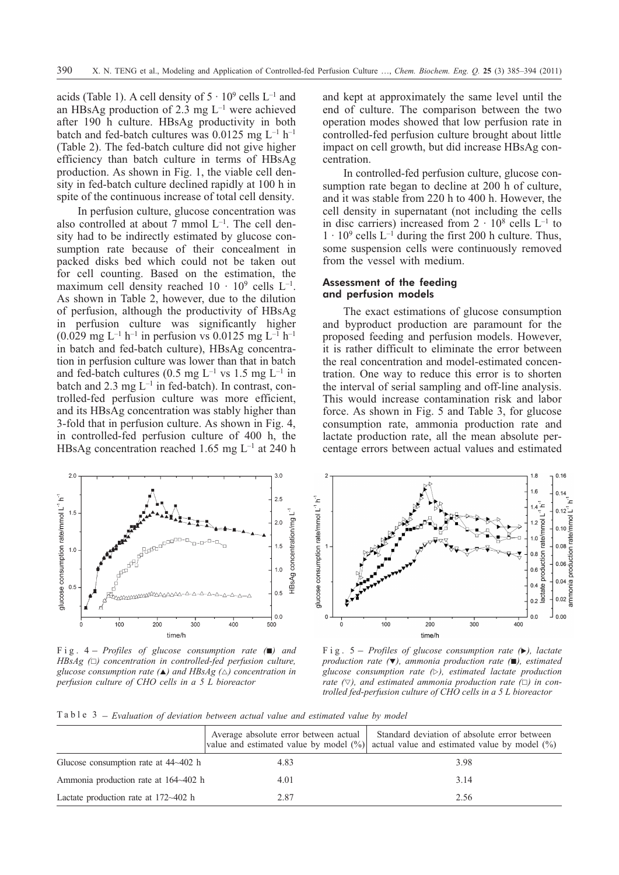acids (Table 1). A cell density of  $5 \cdot 10^9$  cells  $L^{-1}$  and an HBsAg production of 2.3 mg  $L^{-1}$  were achieved after 190 h culture. HBsAg productivity in both batch and fed-batch cultures was  $0.0125$  mg L<sup>-1</sup> h<sup>-1</sup> (Table 2). The fed-batch culture did not give higher efficiency than batch culture in terms of HBsAg production. As shown in Fig. 1, the viable cell density in fed-batch culture declined rapidly at 100 h in spite of the continuous increase of total cell density.

In perfusion culture, glucose concentration was also controlled at about 7 mmol  $L^{-1}$ . The cell density had to be indirectly estimated by glucose consumption rate because of their concealment in packed disks bed which could not be taken out for cell counting. Based on the estimation, the maximum cell density reached  $10 \cdot 10^9$  cells  $L^{-1}$ . As shown in Table 2, however, due to the dilution of perfusion, although the productivity of HBsAg in perfusion culture was significantly higher  $(0.029 \text{ mg } L^{-1} \text{ h}^{-1}$  in perfusion vs 0.0125 mg L<sup>-1</sup> h<sup>-1</sup> in batch and fed-batch culture), HBsAg concentration in perfusion culture was lower than that in batch and fed-batch cultures (0.5 mg  $L^{-1}$  vs 1.5 mg  $L^{-1}$  in batch and 2.3 mg  $L^{-1}$  in fed-batch). In contrast, controlled-fed perfusion culture was more efficient, and its HBsAg concentration was stably higher than 3-fold that in perfusion culture. As shown in Fig. 4, in controlled-fed perfusion culture of 400 h, the HBsAg concentration reached 1.65 mg  $L^{-1}$  at 240 h

 $2<sub>0</sub>$  $\overline{3}0$ Fig. 4 – *Profiles of glucose consumption rate* (**a**) and<br>
Fig. 4 – *Profiles of glucose consumption rate* (**a**) and<br>
Fig. 4 – *Profiles of glucose consumption rate* (**a**) and  $2.5$  $1.5$ HBsAg concentration/mg L  $20$ Funco<sub>o</sub>  $1.5$  $10$  $1.0$  $0.5$ ᡯᡯᡘᡐᡐᡘᢦᠶᡘᠷᠷᠷᠷᠷ  $0.5$ 

*HBsAg (-) concentration in controlled-fed perfusion culture, glucose consumption rate (-) and HBsAg () concentration in perfusion culture of CHO cells in a 5 L bioreactor*

and kept at approximately the same level until the end of culture. The comparison between the two operation modes showed that low perfusion rate in controlled-fed perfusion culture brought about little impact on cell growth, but did increase HBsAg concentration.

In controlled-fed perfusion culture, glucose consumption rate began to decline at 200 h of culture, and it was stable from 220 h to 400 h. However, the cell density in supernatant (not including the cells in disc carriers) increased from  $2 \cdot 10^8$  cells  $L^{-1}$  to  $1 \cdot 10^9$  cells L<sup>-1</sup> during the first 200 h culture. Thus, some suspension cells were continuously removed from the vessel with medium.

## Assessment of the feeding and perfusion models

The exact estimations of glucose consumption and byproduct production are paramount for the proposed feeding and perfusion models. However, it is rather difficult to eliminate the error between the real concentration and model-estimated concentration. One way to reduce this error is to shorten the interval of serial sampling and off-line analysis. This would increase contamination risk and labor force. As shown in Fig. 5 and Table 3, for glucose consumption rate, ammonia production rate and lactate production rate, all the mean absolute percentage errors between actual values and estimated



*production rate (), ammonia production rate (), estimated glucose consumption rate (), estimated lactate production rate*  $( \nabla )$ , and estimated ammonia production rate  $( \nabla )$  in con*trolled fed-perfusion culture of CHO cells ina5L bioreactor*

Table 3 – *Evaluation of deviation between actual value and estimated value by model*

|                                             | Average absolute error between actual<br>value and estimated value by model $(\% )$ | Standard deviation of absolute error between<br>actual value and estimated value by model $\binom{0}{0}$ |
|---------------------------------------------|-------------------------------------------------------------------------------------|----------------------------------------------------------------------------------------------------------|
| Glucose consumption rate at 44~402 h        | 4.83                                                                                | 3.98                                                                                                     |
| Ammonia production rate at 164~402 h        | 4.01                                                                                | 3.14                                                                                                     |
| Lactate production rate at $172 \sim 402$ h | 2.87                                                                                | 2.56                                                                                                     |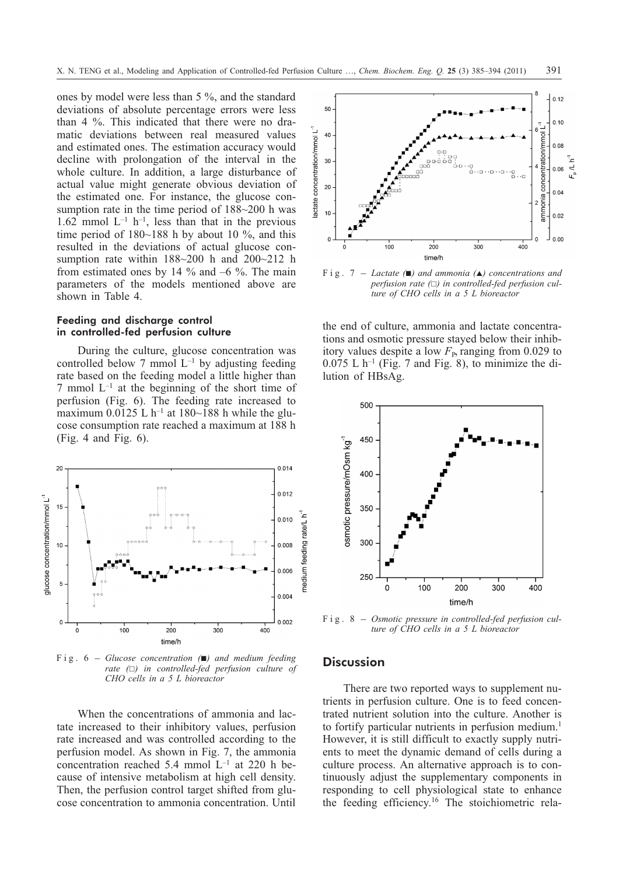ones by model were less than 5 %, and the standard deviations of absolute percentage errors were less than 4 %. This indicated that there were no dramatic deviations between real measured values and estimated ones. The estimation accuracy would decline with prolongation of the interval in the whole culture. In addition, a large disturbance of actual value might generate obvious deviation of the estimated one. For instance, the glucose consumption rate in the time period of 188~200 h was 1.62 mmol  $L^{-1}$  h<sup>-1</sup>, less than that in the previous time period of 180~188 h by about 10 %, and this resulted in the deviations of actual glucose consumption rate within 188~200 h and 200~212 h from estimated ones by 14  $\%$  and  $-6$   $\%$ . The main parameters of the models mentioned above are shown in Table 4.

### Feeding and discharge control in controlled-fed perfusion culture

During the culture, glucose concentration was controlled below 7 mmol  $L^{-1}$  by adjusting feeding rate based on the feeding model a little higher than  $7$  mmol  $L^{-1}$  at the beginning of the short time of perfusion (Fig. 6). The feeding rate increased to maximum 0.0125 L h<sup>-1</sup> at 180~188 h while the glucose consumption rate reached a maximum at 188 h (Fig. 4 and Fig. 6).



*rate (-) in controlled-fed perfusion culture of CHO cells in a 5 L bioreactor*

When the concentrations of ammonia and lactate increased to their inhibitory values, perfusion rate increased and was controlled according to the perfusion model. As shown in Fig. 7, the ammonia concentration reached 5.4 mmol L–1 at 220 h because of intensive metabolism at high cell density. Then, the perfusion control target shifted from glucose concentration to ammonia concentration. Until



*perfusion rate (-) in controlled-fed perfusion culture of CHO cells in a 5 L bioreactor*

the end of culture, ammonia and lactate concentrations and osmotic pressure stayed below their inhibitory values despite a low  $F<sub>P</sub>$ , ranging from 0.029 to  $0.075$  L h<sup>-1</sup> (Fig. 7 and Fig. 8), to minimize the dilution of HBsAg.



*ture of CHO cells in a 5 L bioreactor*

#### **Discussion**

There are two reported ways to supplement nutrients in perfusion culture. One is to feed concentrated nutrient solution into the culture. Another is to fortify particular nutrients in perfusion medium.<sup>1</sup> However, it is still difficult to exactly supply nutrients to meet the dynamic demand of cells during a culture process. An alternative approach is to continuously adjust the supplementary components in responding to cell physiological state to enhance the feeding efficiency.16 The stoichiometric rela-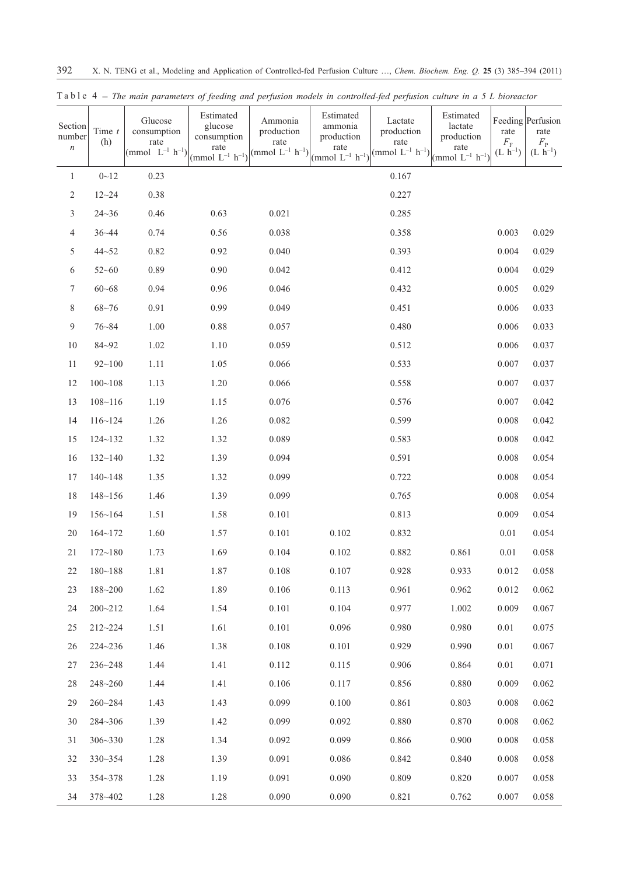| Section<br>number<br>$\,n$ | Time $t$<br>(h) | Glucose<br>consumption<br>rate<br>(mmol $L^{-1}$ h <sup>-1</sup> ) | Estimated<br>glucose<br>consumption<br>rate<br>(mmol $L^{-1}$ h <sup>-1</sup> ) | Ammonia<br>production<br>rate<br>(mmol $L^{-1}$ $h^{-1}$ ) $\begin{pmatrix} \text{rac} 1 & \text{rac} 1 \\ \text{r1} & \text{rac} 1 \end{pmatrix}$ | Estimated<br>ammonia<br>production | Lactate<br>production<br>rate<br>(mmol $L^{-1}$ h <sup>-1</sup> ) | Estimated<br>lactate<br>production<br>rate<br>(mmol $L^{-1}$ h <sup>-1</sup> ) | rate<br>$F_{\rm F}$<br>$(L \, \dot{h}^{-1})$ | Feeding Perfusion<br>rate<br>$\begin{array}{c} F_{\rm P} \\ {\rm (L \ h^{-1})} \end{array}$ |
|----------------------------|-----------------|--------------------------------------------------------------------|---------------------------------------------------------------------------------|----------------------------------------------------------------------------------------------------------------------------------------------------|------------------------------------|-------------------------------------------------------------------|--------------------------------------------------------------------------------|----------------------------------------------|---------------------------------------------------------------------------------------------|
| $\mathbf{1}$               | $0 - 12$        | 0.23                                                               |                                                                                 |                                                                                                                                                    |                                    | 0.167                                                             |                                                                                |                                              |                                                                                             |
| $\sqrt{2}$                 | $12 - 24$       | 0.38                                                               |                                                                                 |                                                                                                                                                    |                                    | 0.227                                                             |                                                                                |                                              |                                                                                             |
| $\mathfrak{Z}$             | $24 - 36$       | 0.46                                                               | 0.63                                                                            | 0.021                                                                                                                                              |                                    | 0.285                                                             |                                                                                |                                              |                                                                                             |
| 4                          | $36 - 44$       | 0.74                                                               | 0.56                                                                            | 0.038                                                                                                                                              |                                    | 0.358                                                             |                                                                                | 0.003                                        | 0.029                                                                                       |
| 5                          | $44 - 52$       | 0.82                                                               | 0.92                                                                            | 0.040                                                                                                                                              |                                    | 0.393                                                             |                                                                                | 0.004                                        | 0.029                                                                                       |
| 6                          | $52 - 60$       | 0.89                                                               | 0.90                                                                            | 0.042                                                                                                                                              |                                    | 0.412                                                             |                                                                                | 0.004                                        | 0.029                                                                                       |
| 7                          | $60 - 68$       | 0.94                                                               | 0.96                                                                            | 0.046                                                                                                                                              |                                    | 0.432                                                             |                                                                                | 0.005                                        | 0.029                                                                                       |
| 8                          | $68 - 76$       | 0.91                                                               | 0.99                                                                            | 0.049                                                                                                                                              |                                    | 0.451                                                             |                                                                                | 0.006                                        | 0.033                                                                                       |
| $\overline{9}$             | $76 - 84$       | 1.00                                                               | 0.88                                                                            | 0.057                                                                                                                                              |                                    | 0.480                                                             |                                                                                | 0.006                                        | 0.033                                                                                       |
| 10                         | $84 - 92$       | 1.02                                                               | 1.10                                                                            | 0.059                                                                                                                                              |                                    | 0.512                                                             |                                                                                | 0.006                                        | 0.037                                                                                       |
| 11                         | $92 - 100$      | 1.11                                                               | 1.05                                                                            | 0.066                                                                                                                                              |                                    | 0.533                                                             |                                                                                | 0.007                                        | 0.037                                                                                       |
| 12                         | $100 - 108$     | 1.13                                                               | 1.20                                                                            | 0.066                                                                                                                                              |                                    | 0.558                                                             |                                                                                | 0.007                                        | 0.037                                                                                       |
| 13                         | $108 - 116$     | 1.19                                                               | 1.15                                                                            | 0.076                                                                                                                                              |                                    | 0.576                                                             |                                                                                | 0.007                                        | 0.042                                                                                       |
| 14                         | 116~124         | 1.26                                                               | 1.26                                                                            | 0.082                                                                                                                                              |                                    | 0.599                                                             |                                                                                | 0.008                                        | 0.042                                                                                       |
| 15                         | $124 - 132$     | 1.32                                                               | 1.32                                                                            | 0.089                                                                                                                                              |                                    | 0.583                                                             |                                                                                | 0.008                                        | 0.042                                                                                       |
| 16                         | $132 - 140$     | 1.32                                                               | 1.39                                                                            | 0.094                                                                                                                                              |                                    | 0.591                                                             |                                                                                | 0.008                                        | 0.054                                                                                       |
| 17                         | $140 - 148$     | 1.35                                                               | 1.32                                                                            | 0.099                                                                                                                                              |                                    | 0.722                                                             |                                                                                | 0.008                                        | 0.054                                                                                       |
| 18                         | $148 - 156$     | 1.46                                                               | 1.39                                                                            | 0.099                                                                                                                                              |                                    | 0.765                                                             |                                                                                | 0.008                                        | 0.054                                                                                       |
| 19                         | 156~164         | 1.51                                                               | 1.58                                                                            | 0.101                                                                                                                                              |                                    | 0.813                                                             |                                                                                | 0.009                                        | 0.054                                                                                       |
| 20                         | $164 - 172$     | 1.60                                                               | 1.57                                                                            | 0.101                                                                                                                                              | 0.102                              | 0.832                                                             |                                                                                | 0.01                                         | 0.054                                                                                       |
| 21                         | $172 - 180$     | 1.73                                                               | 1.69                                                                            | 0.104                                                                                                                                              | 0.102                              | 0.882                                                             | 0.861                                                                          | $0.01\,$                                     | 0.058                                                                                       |
| 22                         | $180 - 188$     | 1.81                                                               | 1.87                                                                            | 0.108                                                                                                                                              | 0.107                              | 0.928                                                             | 0.933                                                                          | 0.012                                        | 0.058                                                                                       |
| 23                         | $188 - 200$     | 1.62                                                               | 1.89                                                                            | 0.106                                                                                                                                              | 0.113                              | 0.961                                                             | 0.962                                                                          | 0.012                                        | 0.062                                                                                       |
| 24                         | $200 - 212$     | 1.64                                                               | 1.54                                                                            | 0.101                                                                                                                                              | 0.104                              | 0.977                                                             | 1.002                                                                          | 0.009                                        | 0.067                                                                                       |
| 25                         | 212~224         | 1.51                                                               | 1.61                                                                            | 0.101                                                                                                                                              | 0.096                              | 0.980                                                             | 0.980                                                                          | 0.01                                         | 0.075                                                                                       |
| 26                         | $224 - 236$     | 1.46                                                               | 1.38                                                                            | 0.108                                                                                                                                              | 0.101                              | 0.929                                                             | 0.990                                                                          | 0.01                                         | 0.067                                                                                       |
| 27                         | $236 - 248$     | 1.44                                                               | 1.41                                                                            | 0.112                                                                                                                                              | 0.115                              | 0.906                                                             | 0.864                                                                          | 0.01                                         | 0.071                                                                                       |
| 28                         | 248~260         | 1.44                                                               | 1.41                                                                            | 0.106                                                                                                                                              | 0.117                              | 0.856                                                             | 0.880                                                                          | 0.009                                        | 0.062                                                                                       |
| 29                         | $260 - 284$     | 1.43                                                               | 1.43                                                                            | 0.099                                                                                                                                              | 0.100                              | 0.861                                                             | 0.803                                                                          | 0.008                                        | 0.062                                                                                       |
| 30                         | 284~306         | 1.39                                                               | 1.42                                                                            | 0.099                                                                                                                                              | 0.092                              | 0.880                                                             | 0.870                                                                          | 0.008                                        | 0.062                                                                                       |
| 31                         | $306 - 330$     | 1.28                                                               | 1.34                                                                            | 0.092                                                                                                                                              | 0.099                              | 0.866                                                             | 0.900                                                                          | 0.008                                        | 0.058                                                                                       |
| 32                         | $330 - 354$     | 1.28                                                               | 1.39                                                                            | 0.091                                                                                                                                              | 0.086                              | 0.842                                                             | 0.840                                                                          | 0.008                                        | 0.058                                                                                       |
| 33                         | 354~378         | 1.28                                                               | 1.19                                                                            | 0.091                                                                                                                                              | 0.090                              | 0.809                                                             | 0.820                                                                          | 0.007                                        | 0.058                                                                                       |
| 34                         | 378~402         | 1.28                                                               | 1.28                                                                            | 0.090                                                                                                                                              | 0.090                              | 0.821                                                             | 0.762                                                                          | 0.007                                        | 0.058                                                                                       |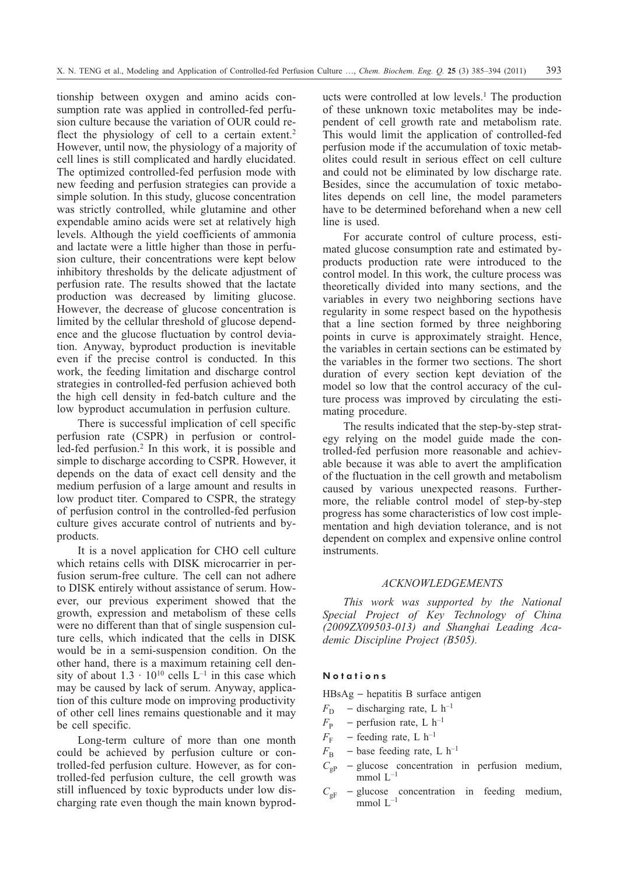tionship between oxygen and amino acids consumption rate was applied in controlled-fed perfusion culture because the variation of OUR could reflect the physiology of cell to a certain extent.<sup>2</sup> However, until now, the physiology of a majority of cell lines is still complicated and hardly elucidated. The optimized controlled-fed perfusion mode with new feeding and perfusion strategies can provide a simple solution. In this study, glucose concentration was strictly controlled, while glutamine and other expendable amino acids were set at relatively high levels. Although the yield coefficients of ammonia and lactate were a little higher than those in perfusion culture, their concentrations were kept below inhibitory thresholds by the delicate adjustment of perfusion rate. The results showed that the lactate production was decreased by limiting glucose. However, the decrease of glucose concentration is limited by the cellular threshold of glucose dependence and the glucose fluctuation by control deviation. Anyway, byproduct production is inevitable even if the precise control is conducted. In this work, the feeding limitation and discharge control strategies in controlled-fed perfusion achieved both the high cell density in fed-batch culture and the low byproduct accumulation in perfusion culture.

There is successful implication of cell specific perfusion rate (CSPR) in perfusion or controlled-fed perfusion.2 In this work, it is possible and simple to discharge according to CSPR. However, it depends on the data of exact cell density and the medium perfusion of a large amount and results in low product titer. Compared to CSPR, the strategy of perfusion control in the controlled-fed perfusion culture gives accurate control of nutrients and byproducts.

It is a novel application for CHO cell culture which retains cells with DISK microcarrier in perfusion serum-free culture. The cell can not adhere to DISK entirely without assistance of serum. However, our previous experiment showed that the growth, expression and metabolism of these cells were no different than that of single suspension culture cells, which indicated that the cells in DISK would be in a semi-suspension condition. On the other hand, there is a maximum retaining cell density of about  $1.3 \cdot 10^{10}$  cells  $L^{-1}$  in this case which may be caused by lack of serum. Anyway, application of this culture mode on improving productivity of other cell lines remains questionable and it may be cell specific.

Long-term culture of more than one month could be achieved by perfusion culture or controlled-fed perfusion culture. However, as for controlled-fed perfusion culture, the cell growth was still influenced by toxic byproducts under low discharging rate even though the main known byproducts were controlled at low levels.<sup>1</sup> The production of these unknown toxic metabolites may be independent of cell growth rate and metabolism rate. This would limit the application of controlled-fed perfusion mode if the accumulation of toxic metabolites could result in serious effect on cell culture and could not be eliminated by low discharge rate. Besides, since the accumulation of toxic metabolites depends on cell line, the model parameters have to be determined beforehand when a new cell line is used.

For accurate control of culture process, estimated glucose consumption rate and estimated byproducts production rate were introduced to the control model. In this work, the culture process was theoretically divided into many sections, and the variables in every two neighboring sections have regularity in some respect based on the hypothesis that a line section formed by three neighboring points in curve is approximately straight. Hence, the variables in certain sections can be estimated by the variables in the former two sections. The short duration of every section kept deviation of the model so low that the control accuracy of the culture process was improved by circulating the estimating procedure.

The results indicated that the step-by-step strategy relying on the model guide made the controlled-fed perfusion more reasonable and achievable because it was able to avert the amplification of the fluctuation in the cell growth and metabolism caused by various unexpected reasons. Furthermore, the reliable control model of step-by-step progress has some characteristics of low cost implementation and high deviation tolerance, and is not dependent on complex and expensive online control instruments.

## *ACKNOWLEDGEMENTS*

*This work was supported by the National Special Project of Key Technology of China (2009ZX09503-013) and Shanghai Leading Academic Discipline Project (B505).*

#### **Notations**

 $HBsAg - hepatitis B surface antigen$ 

- $F_D$  discharging rate, L h<sup>-1</sup>
- $F_{\rm p}$  perfusion rate, L h<sup>-1</sup>
- $F<sub>F</sub>$  feeding rate, L h<sup>-1</sup>
- $F_{\rm B}$  base feeding rate, L h<sup>-1</sup>
- $C_{\rm op}$  glucose concentration in perfusion medium, mmol  $L^{-1}$
- $C_{\text{gF}}$  glucose concentration in feeding medium, mmol  $L^{-1}$